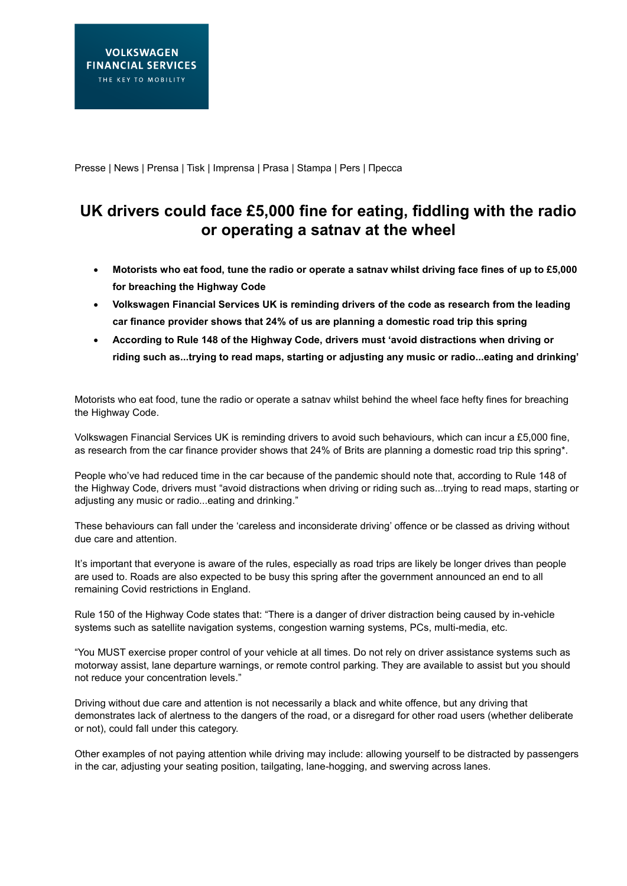Presse | News | Prensa | Tisk | Imprensa | Prasa | Stampa | Pers | Пресса

## **UK drivers could face £5,000 fine for eating, fiddling with the radio or operating a satnav at the wheel**

- **Motorists who eat food, tune the radio or operate a satnav whilst driving face fines of up to £5,000 for breaching the Highway Code**
- **Volkswagen Financial Services UK is reminding drivers of the code as research from the leading car finance provider shows that 24% of us are planning a domestic road trip this spring**
- **According to Rule 148 of the Highway Code, drivers must 'avoid distractions when driving or riding such as...trying to read maps, starting or adjusting any music or radio...eating and drinking'**

Motorists who eat food, tune the radio or operate a satnav whilst behind the wheel face hefty fines for breaching the Highway Code.

Volkswagen Financial Services UK is reminding drivers to avoid such behaviours, which can incur a £5,000 fine, as research from the car finance provider shows that 24% of Brits are planning a domestic road trip this spring\*.

People who've had reduced time in the car because of the pandemic should note that, according to Rule 148 of the Highway Code, drivers must "avoid distractions when driving or riding such as...trying to read maps, starting or adjusting any music or radio...eating and drinking."

These behaviours can fall under the 'careless and inconsiderate driving' offence or be classed as driving without due care and attention.

It's important that everyone is aware of the rules, especially as road trips are likely be longer drives than people are used to. Roads are also expected to be busy this spring after the government announced an end to all remaining Covid restrictions in England.

Rule 150 of the Highway Code states that: "There is a danger of driver distraction being caused by in-vehicle systems such as satellite navigation systems, congestion warning systems, PCs, multi-media, etc.

"You MUST exercise proper control of your vehicle at all times. Do not rely on driver assistance systems such as motorway assist, lane departure warnings, or remote control parking. They are available to assist but you should not reduce your concentration levels."

Driving without due care and attention is not necessarily a black and white offence, but any driving that demonstrates lack of alertness to the dangers of the road, or a disregard for other road users (whether deliberate or not), could fall under this category.

Other examples of not paying attention while driving may include: allowing yourself to be distracted by passengers in the car, adjusting your seating position, tailgating, lane-hogging, and swerving across lanes.